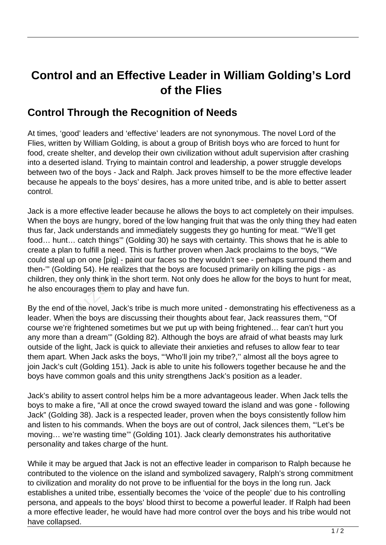## **Control and an Effective Leader in William Golding's Lord of the Flies**

## **Control Through the Recognition of Needs**

At times, 'good' leaders and 'effective' leaders are not synonymous. The novel Lord of the Flies, written by William Golding, is about a group of British boys who are forced to hunt for food, create shelter, and develop their own civilization without adult supervision after crashing into a deserted island. Trying to maintain control and leadership, a power struggle develops between two of the boys - Jack and Ralph. Jack proves himself to be the more effective leader because he appeals to the boys' desires, has a more united tribe, and is able to better assert control.

Jack is a more effective leader because he allows the boys to act completely on their impulses. When the boys are hungry, bored of the low hanging fruit that was the only thing they had eaten thus far, Jack understands and immediately suggests they go hunting for meat. "'We'll get food… hunt… catch things'" (Golding 30) he says with certainty. This shows that he is able to create a plan to fulfill a need. This is further proven when Jack proclaims to the boys, "'We could steal up on one [pig] - paint our faces so they wouldn't see - perhaps surround them and then-'" (Golding 54). He realizes that the boys are focused primarily on killing the pigs - as children, they only think in the short term. Not only does he allow for the boys to hunt for meat, he also encourages them to play and have fun. boys are hungry, bored of the low<br>ack understands and immediately<br>t... catch things" (Golding 30) he<br>an to fulfill a need. This is further<br>I up on one [pig] - paint our faces<br>blding 54). He realizes that the boy<br>ney only t

By the end of the novel, Jack's tribe is much more united - demonstrating his effectiveness as a leader. When the boys are discussing their thoughts about fear, Jack reassures them, "'Of course we're frightened sometimes but we put up with being frightened… fear can't hurt you any more than a dream'" (Golding 82). Although the boys are afraid of what beasts may lurk outside of the light, Jack is quick to alleviate their anxieties and refuses to allow fear to tear them apart. When Jack asks the boys, "'Who'll join my tribe?,'' almost all the boys agree to join Jack's cult (Golding 151). Jack is able to unite his followers together because he and the boys have common goals and this unity strengthens Jack's position as a leader.

Jack's ability to assert control helps him be a more advantageous leader. When Jack tells the boys to make a fire, "All at once the crowd swayed toward the island and was gone - following Jack" (Golding 38). Jack is a respected leader, proven when the boys consistently follow him and listen to his commands. When the boys are out of control, Jack silences them, "'Let's be moving… we're wasting time'" (Golding 101). Jack clearly demonstrates his authoritative personality and takes charge of the hunt.

While it may be argued that Jack is not an effective leader in comparison to Ralph because he contributed to the violence on the island and symbolized savagery, Ralph's strong commitment to civilization and morality do not prove to be influential for the boys in the long run. Jack establishes a united tribe, essentially becomes the 'voice of the people' due to his controlling persona, and appeals to the boys' blood thirst to become a powerful leader. If Ralph had been a more effective leader, he would have had more control over the boys and his tribe would not have collapsed.